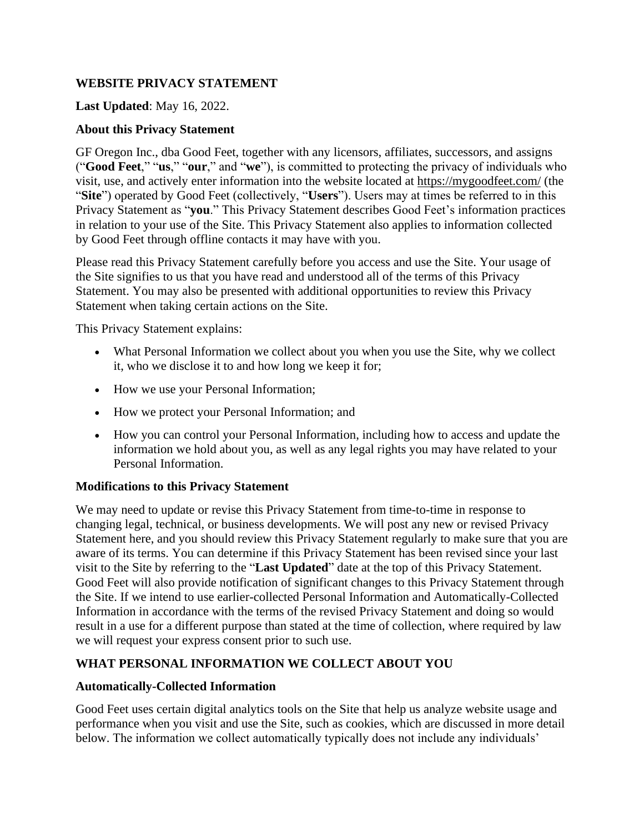#### **WEBSITE PRIVACY STATEMENT**

#### **Last Updated**: May 16, 2022.

#### **About this Privacy Statement**

GF Oregon Inc., dba Good Feet, together with any licensors, affiliates, successors, and assigns ("**Good Feet**," "**us**," "**our**," and "**we**"), is committed to protecting the privacy of individuals who visit, use, and actively enter information into the website located at <https://mygoodfeet.com/> (the "**Site**") operated by Good Feet (collectively, "**Users**"). Users may at times be referred to in this Privacy Statement as "**you**." This Privacy Statement describes Good Feet's information practices in relation to your use of the Site. This Privacy Statement also applies to information collected by Good Feet through offline contacts it may have with you.

Please read this Privacy Statement carefully before you access and use the Site. Your usage of the Site signifies to us that you have read and understood all of the terms of this Privacy Statement. You may also be presented with additional opportunities to review this Privacy Statement when taking certain actions on the Site.

This Privacy Statement explains:

- What Personal Information we collect about you when you use the Site, why we collect it, who we disclose it to and how long we keep it for;
- How we use your Personal Information;
- How we protect your Personal Information; and
- How you can control your Personal Information, including how to access and update the information we hold about you, as well as any legal rights you may have related to your Personal Information.

#### **Modifications to this Privacy Statement**

We may need to update or revise this Privacy Statement from time-to-time in response to changing legal, technical, or business developments. We will post any new or revised Privacy Statement here, and you should review this Privacy Statement regularly to make sure that you are aware of its terms. You can determine if this Privacy Statement has been revised since your last visit to the Site by referring to the "**Last Updated**" date at the top of this Privacy Statement. Good Feet will also provide notification of significant changes to this Privacy Statement through the Site. If we intend to use earlier-collected Personal Information and Automatically-Collected Information in accordance with the terms of the revised Privacy Statement and doing so would result in a use for a different purpose than stated at the time of collection, where required by law we will request your express consent prior to such use.

### **WHAT PERSONAL INFORMATION WE COLLECT ABOUT YOU**

#### **Automatically-Collected Information**

Good Feet uses certain digital analytics tools on the Site that help us analyze website usage and performance when you visit and use the Site, such as cookies, which are discussed in more detail below. The information we collect automatically typically does not include any individuals'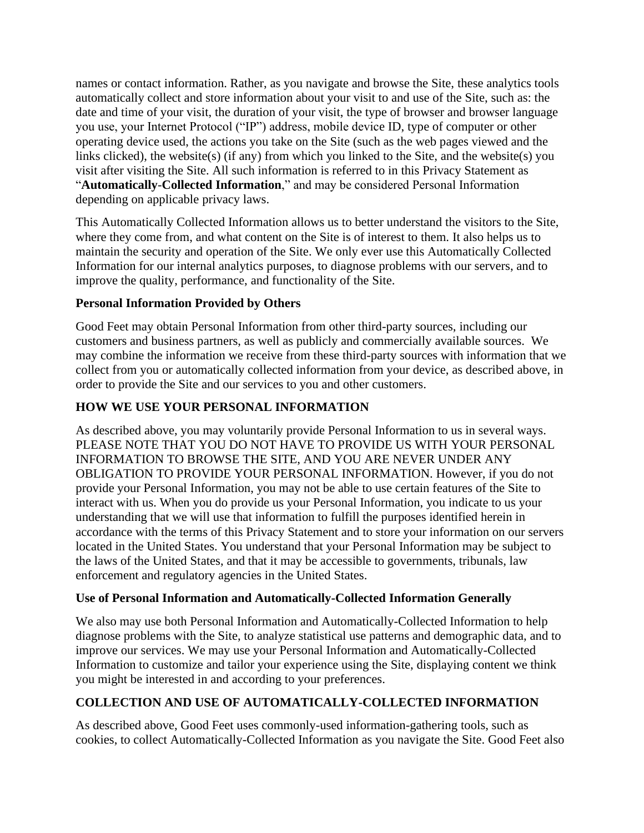names or contact information. Rather, as you navigate and browse the Site, these analytics tools automatically collect and store information about your visit to and use of the Site, such as: the date and time of your visit, the duration of your visit, the type of browser and browser language you use, your Internet Protocol ("IP") address, mobile device ID, type of computer or other operating device used, the actions you take on the Site (such as the web pages viewed and the links clicked), the website(s) (if any) from which you linked to the Site, and the website(s) you visit after visiting the Site. All such information is referred to in this Privacy Statement as "**Automatically**-**Collected Information**," and may be considered Personal Information depending on applicable privacy laws.

This Automatically Collected Information allows us to better understand the visitors to the Site, where they come from, and what content on the Site is of interest to them. It also helps us to maintain the security and operation of the Site. We only ever use this Automatically Collected Information for our internal analytics purposes, to diagnose problems with our servers, and to improve the quality, performance, and functionality of the Site.

# **Personal Information Provided by Others**

Good Feet may obtain Personal Information from other third-party sources, including our customers and business partners, as well as publicly and commercially available sources. We may combine the information we receive from these third-party sources with information that we collect from you or automatically collected information from your device, as described above, in order to provide the Site and our services to you and other customers.

# **HOW WE USE YOUR PERSONAL INFORMATION**

As described above, you may voluntarily provide Personal Information to us in several ways. PLEASE NOTE THAT YOU DO NOT HAVE TO PROVIDE US WITH YOUR PERSONAL INFORMATION TO BROWSE THE SITE, AND YOU ARE NEVER UNDER ANY OBLIGATION TO PROVIDE YOUR PERSONAL INFORMATION. However, if you do not provide your Personal Information, you may not be able to use certain features of the Site to interact with us. When you do provide us your Personal Information, you indicate to us your understanding that we will use that information to fulfill the purposes identified herein in accordance with the terms of this Privacy Statement and to store your information on our servers located in the United States. You understand that your Personal Information may be subject to the laws of the United States, and that it may be accessible to governments, tribunals, law enforcement and regulatory agencies in the United States.

### **Use of Personal Information and Automatically-Collected Information Generally**

We also may use both Personal Information and Automatically-Collected Information to help diagnose problems with the Site, to analyze statistical use patterns and demographic data, and to improve our services. We may use your Personal Information and Automatically-Collected Information to customize and tailor your experience using the Site, displaying content we think you might be interested in and according to your preferences.

# **COLLECTION AND USE OF AUTOMATICALLY-COLLECTED INFORMATION**

As described above, Good Feet uses commonly-used information-gathering tools, such as cookies, to collect Automatically-Collected Information as you navigate the Site. Good Feet also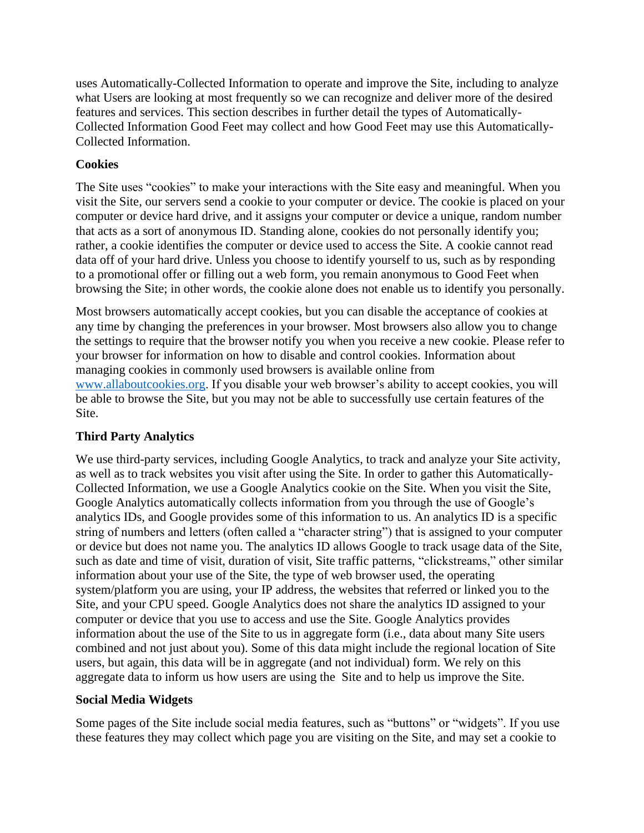uses Automatically-Collected Information to operate and improve the Site, including to analyze what Users are looking at most frequently so we can recognize and deliver more of the desired features and services. This section describes in further detail the types of Automatically-Collected Information Good Feet may collect and how Good Feet may use this Automatically-Collected Information.

# **Cookies**

The Site uses "cookies" to make your interactions with the Site easy and meaningful. When you visit the Site, our servers send a cookie to your computer or device. The cookie is placed on your computer or device hard drive, and it assigns your computer or device a unique, random number that acts as a sort of anonymous ID. Standing alone, cookies do not personally identify you; rather, a cookie identifies the computer or device used to access the Site. A cookie cannot read data off of your hard drive. Unless you choose to identify yourself to us, such as by responding to a promotional offer or filling out a web form, you remain anonymous to Good Feet when browsing the Site; in other words, the cookie alone does not enable us to identify you personally.

Most browsers automatically accept cookies, but you can disable the acceptance of cookies at any time by changing the preferences in your browser. Most browsers also allow you to change the settings to require that the browser notify you when you receive a new cookie. Please refer to your browser for information on how to disable and control cookies. Information about managing cookies in commonly used browsers is available online from [www.allaboutcookies.org.](http://www.allaboutcookies.org/) If you disable your web browser's ability to accept cookies, you will be able to browse the Site, but you may not be able to successfully use certain features of the Site.

### **Third Party Analytics**

We use third-party services, including Google Analytics, to track and analyze your Site activity, as well as to track websites you visit after using the Site. In order to gather this Automatically-Collected Information, we use a Google Analytics cookie on the Site. When you visit the Site, Google Analytics automatically collects information from you through the use of Google's analytics IDs, and Google provides some of this information to us. An analytics ID is a specific string of numbers and letters (often called a "character string") that is assigned to your computer or device but does not name you. The analytics ID allows Google to track usage data of the Site, such as date and time of visit, duration of visit, Site traffic patterns, "clickstreams," other similar information about your use of the Site, the type of web browser used, the operating system/platform you are using, your IP address, the websites that referred or linked you to the Site, and your CPU speed. Google Analytics does not share the analytics ID assigned to your computer or device that you use to access and use the Site. Google Analytics provides information about the use of the Site to us in aggregate form (i.e., data about many Site users combined and not just about you). Some of this data might include the regional location of Site users, but again, this data will be in aggregate (and not individual) form. We rely on this aggregate data to inform us how users are using the Site and to help us improve the Site.

### **Social Media Widgets**

Some pages of the Site include social media features, such as "buttons" or "widgets". If you use these features they may collect which page you are visiting on the Site, and may set a cookie to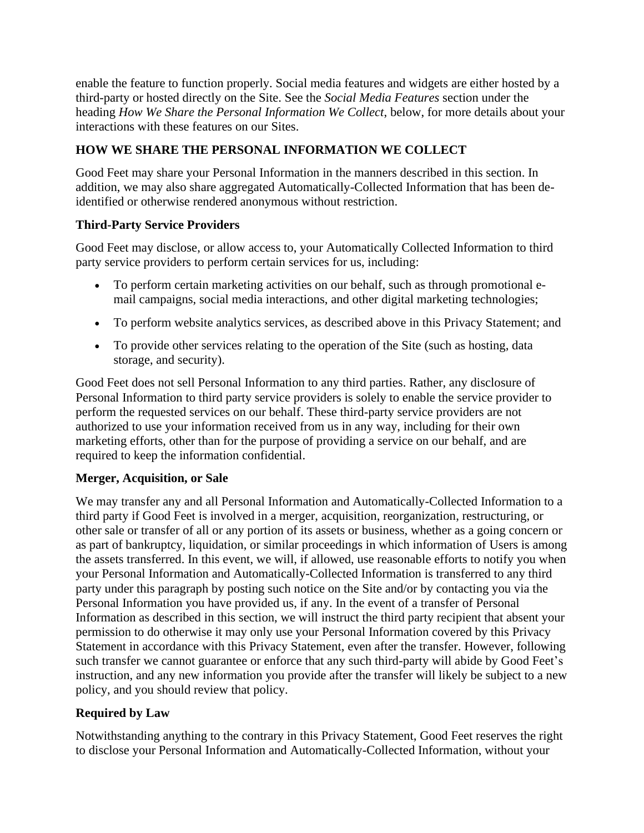enable the feature to function properly. Social media features and widgets are either hosted by a third-party or hosted directly on the Site. See the *Social Media Features* section under the heading *How We Share the Personal Information We Collect*, below, for more details about your interactions with these features on our Sites.

# **HOW WE SHARE THE PERSONAL INFORMATION WE COLLECT**

Good Feet may share your Personal Information in the manners described in this section. In addition, we may also share aggregated Automatically-Collected Information that has been deidentified or otherwise rendered anonymous without restriction.

### **Third-Party Service Providers**

Good Feet may disclose, or allow access to, your Automatically Collected Information to third party service providers to perform certain services for us, including:

- To perform certain marketing activities on our behalf, such as through promotional email campaigns, social media interactions, and other digital marketing technologies;
- To perform website analytics services, as described above in this Privacy Statement; and
- To provide other services relating to the operation of the Site (such as hosting, data storage, and security).

Good Feet does not sell Personal Information to any third parties. Rather, any disclosure of Personal Information to third party service providers is solely to enable the service provider to perform the requested services on our behalf. These third-party service providers are not authorized to use your information received from us in any way, including for their own marketing efforts, other than for the purpose of providing a service on our behalf, and are required to keep the information confidential.

### **Merger, Acquisition, or Sale**

We may transfer any and all Personal Information and Automatically-Collected Information to a third party if Good Feet is involved in a merger, acquisition, reorganization, restructuring, or other sale or transfer of all or any portion of its assets or business, whether as a going concern or as part of bankruptcy, liquidation, or similar proceedings in which information of Users is among the assets transferred. In this event, we will, if allowed, use reasonable efforts to notify you when your Personal Information and Automatically-Collected Information is transferred to any third party under this paragraph by posting such notice on the Site and/or by contacting you via the Personal Information you have provided us, if any. In the event of a transfer of Personal Information as described in this section, we will instruct the third party recipient that absent your permission to do otherwise it may only use your Personal Information covered by this Privacy Statement in accordance with this Privacy Statement, even after the transfer. However, following such transfer we cannot guarantee or enforce that any such third-party will abide by Good Feet's instruction, and any new information you provide after the transfer will likely be subject to a new policy, and you should review that policy.

### **Required by Law**

Notwithstanding anything to the contrary in this Privacy Statement, Good Feet reserves the right to disclose your Personal Information and Automatically-Collected Information, without your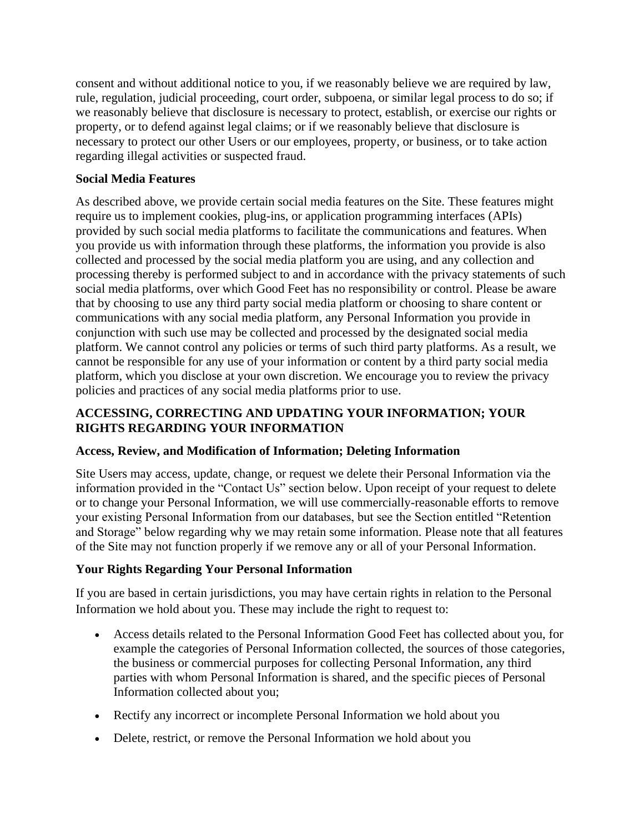consent and without additional notice to you, if we reasonably believe we are required by law, rule, regulation, judicial proceeding, court order, subpoena, or similar legal process to do so; if we reasonably believe that disclosure is necessary to protect, establish, or exercise our rights or property, or to defend against legal claims; or if we reasonably believe that disclosure is necessary to protect our other Users or our employees, property, or business, or to take action regarding illegal activities or suspected fraud.

# **Social Media Features**

As described above, we provide certain social media features on the Site. These features might require us to implement cookies, plug-ins, or application programming interfaces (APIs) provided by such social media platforms to facilitate the communications and features. When you provide us with information through these platforms, the information you provide is also collected and processed by the social media platform you are using, and any collection and processing thereby is performed subject to and in accordance with the privacy statements of such social media platforms, over which Good Feet has no responsibility or control. Please be aware that by choosing to use any third party social media platform or choosing to share content or communications with any social media platform, any Personal Information you provide in conjunction with such use may be collected and processed by the designated social media platform. We cannot control any policies or terms of such third party platforms. As a result, we cannot be responsible for any use of your information or content by a third party social media platform, which you disclose at your own discretion. We encourage you to review the privacy policies and practices of any social media platforms prior to use.

# **ACCESSING, CORRECTING AND UPDATING YOUR INFORMATION; YOUR RIGHTS REGARDING YOUR INFORMATION**

### **Access, Review, and Modification of Information; Deleting Information**

Site Users may access, update, change, or request we delete their Personal Information via the information provided in the "Contact Us" section below. Upon receipt of your request to delete or to change your Personal Information, we will use commercially-reasonable efforts to remove your existing Personal Information from our databases, but see the Section entitled "Retention and Storage" below regarding why we may retain some information. Please note that all features of the Site may not function properly if we remove any or all of your Personal Information.

### **Your Rights Regarding Your Personal Information**

If you are based in certain jurisdictions, you may have certain rights in relation to the Personal Information we hold about you. These may include the right to request to:

- Access details related to the Personal Information Good Feet has collected about you, for example the categories of Personal Information collected, the sources of those categories, the business or commercial purposes for collecting Personal Information, any third parties with whom Personal Information is shared, and the specific pieces of Personal Information collected about you;
- Rectify any incorrect or incomplete Personal Information we hold about you
- Delete, restrict, or remove the Personal Information we hold about you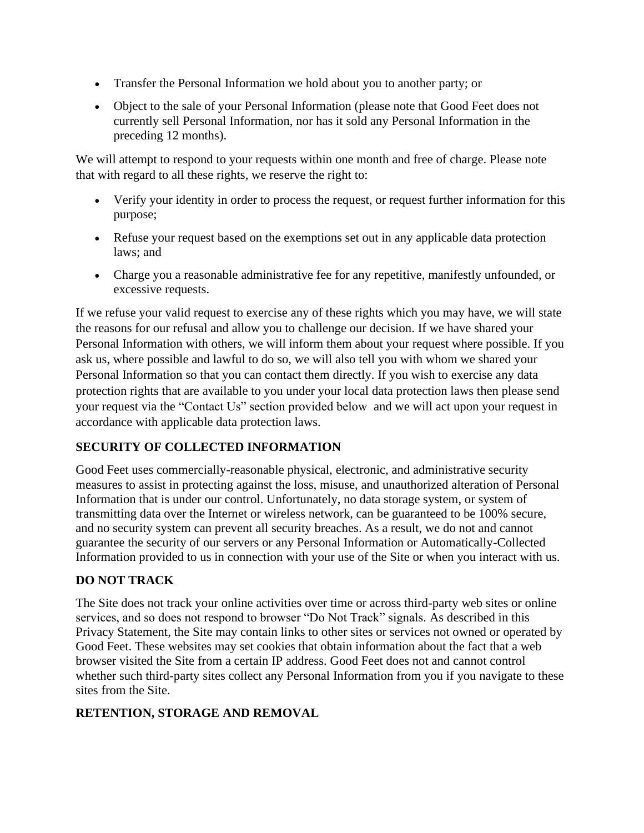- Transfer the Personal Information we hold about you to another party; or
- Object to the sale of your Personal Information (please note that Good Feet does not currently sell Personal Information, nor has it sold any Personal Information in the preceding 12 months).

We will attempt to respond to your requests within one month and free of charge. Please note that with regard to all these rights, we reserve the right to:

- Verify your identity in order to process the request, or request further information for this purpose;
- Refuse your request based on the exemptions set out in any applicable data protection laws; and
- Charge you a reasonable administrative fee for any repetitive, manifestly unfounded, or excessive requests.

If we refuse your valid request to exercise any of these rights which you may have, we will state the reasons for our refusal and allow you to challenge our decision. If we have shared your Personal Information with others, we will inform them about your request where possible. If you ask us, where possible and lawful to do so, we will also tell you with whom we shared your Personal Information so that you can contact them directly. If you wish to exercise any data protection rights that are available to you under your local data protection laws then please send your request via the "Contact Us" section provided below and we will act upon your request in accordance with applicable data protection laws.

### **SECURITY OF COLLECTED INFORMATION**

Good Feet uses commercially-reasonable physical, electronic, and administrative security measures to assist in protecting against the loss, misuse, and unauthorized alteration of Personal Information that is under our control. Unfortunately, no data storage system, or system of transmitting data over the Internet or wireless network, can be guaranteed to be 100% secure, and no security system can prevent all security breaches. As a result, we do not and cannot guarantee the security of our servers or any Personal Information or Automatically-Collected Information provided to us in connection with your use of the Site or when you interact with us.

### **DO NOT TRACK**

The Site does not track your online activities over time or across third-party web sites or online services, and so does not respond to browser "Do Not Track" signals. As described in this Privacy Statement, the Site may contain links to other sites or services not owned or operated by Good Feet. These websites may set cookies that obtain information about the fact that a web browser visited the Site from a certain IP address. Good Feet does not and cannot control whether such third-party sites collect any Personal Information from you if you navigate to these sites from the Site.

### **RETENTION, STORAGE AND REMOVAL**